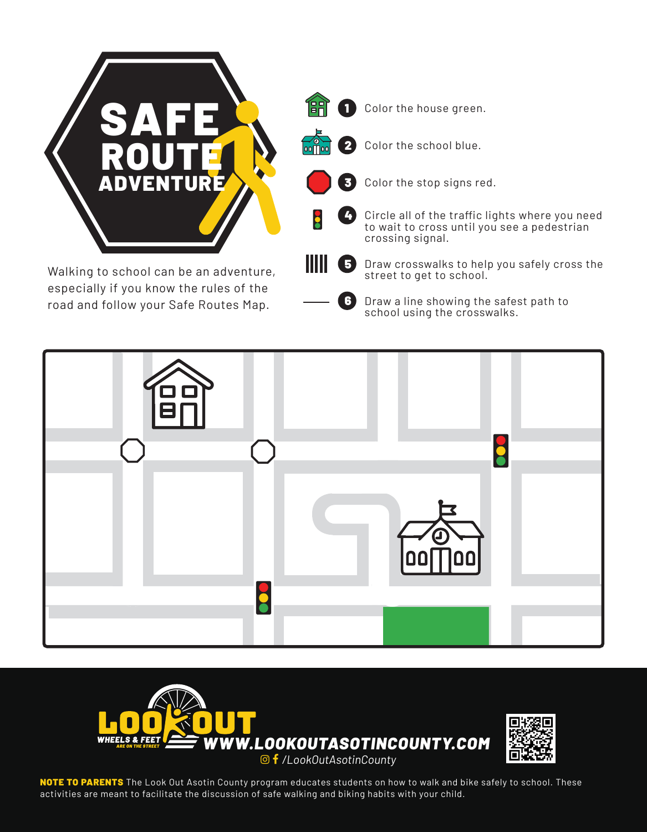

road and follow your Safe Routes Map.

6 Draw a line showing the safest path to school using the crosswalks.





NOTE TO PARENTS The Look Out Asotin County program educates students on how to walk and bike safely to school. These activities are meant to facilitate the discussion of safe walking and biking habits with your child.